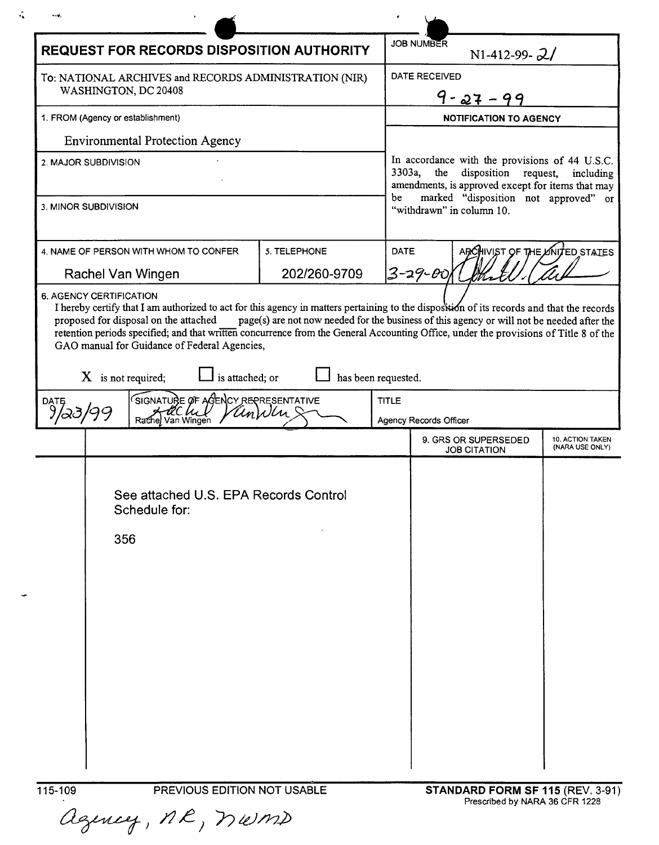| v.sk                                                                                       |                                                                                                                                                                                                                                                  |  |                     |                                                                                                                                                                                                                                         |                                            |
|--------------------------------------------------------------------------------------------|--------------------------------------------------------------------------------------------------------------------------------------------------------------------------------------------------------------------------------------------------|--|---------------------|-----------------------------------------------------------------------------------------------------------------------------------------------------------------------------------------------------------------------------------------|--------------------------------------------|
| <b>REQUEST FOR RECORDS DISPOSITION AUTHORITY</b>                                           |                                                                                                                                                                                                                                                  |  |                     | <b>JOB NUMBER</b><br>N1-412-99- $2/$                                                                                                                                                                                                    |                                            |
| To: NATIONAL ARCHIVES and RECORDS ADMINISTRATION (NIR)                                     |                                                                                                                                                                                                                                                  |  |                     | DATE RECEIVED                                                                                                                                                                                                                           |                                            |
| WASHINGTON, DC 20408                                                                       |                                                                                                                                                                                                                                                  |  |                     | $27 - 99$                                                                                                                                                                                                                               |                                            |
| 1. FROM (Agency or establishment)                                                          |                                                                                                                                                                                                                                                  |  |                     | <b>NOTIFICATION TO AGENCY</b>                                                                                                                                                                                                           |                                            |
| <b>Environmental Protection Agency</b>                                                     |                                                                                                                                                                                                                                                  |  |                     |                                                                                                                                                                                                                                         |                                            |
| 2. MAJOR SUBDIVISION                                                                       |                                                                                                                                                                                                                                                  |  |                     | In accordance with the provisions of 44 U.S.C.<br>3303a,<br>the<br>disposition request,<br>including<br>amendments, is approved except for items that may<br>marked "disposition not approved"<br>be<br>or<br>"withdrawn" in column 10. |                                            |
| 3. MINOR SUBDIVISION                                                                       |                                                                                                                                                                                                                                                  |  |                     |                                                                                                                                                                                                                                         |                                            |
| 4. NAME OF PERSON WITH WHOM TO CONFER<br>5. TELEPHONE<br>202/260-9709<br>Rachel Van Wingen |                                                                                                                                                                                                                                                  |  | <b>DATE</b>         | ARCHIVIST OF THE UNITED STATES<br>3-29- <i>0</i> 0                                                                                                                                                                                      |                                            |
| $X$ is not required;                                                                       | proposed for disposal on the attached<br>retention periods specified; and that written concurrence from the General Accounting Office, under the provisions of Title 8 of the<br>GAO manual for Guidance of Federal Agencies,<br>is attached; or |  | has been requested. | page(s) are not now needed for the business of this agency or will not be needed after the                                                                                                                                              |                                            |
| DATE                                                                                       | SIGNATURE OF AGENCY REPRESENTATIVE<br>Van Wingen<br>Rachel                                                                                                                                                                                       |  | <b>TITLE</b>        | Agency Records Officer                                                                                                                                                                                                                  |                                            |
|                                                                                            |                                                                                                                                                                                                                                                  |  |                     | 9. GRS OR SUPERSEDED<br><b>JOB CITATION</b>                                                                                                                                                                                             | <b>10. ACTION TAKEN</b><br>(NARA USE ONLY) |
| 356                                                                                        | See attached U.S. EPA Records Control<br>Schedule for:                                                                                                                                                                                           |  |                     |                                                                                                                                                                                                                                         |                                            |

115-109 PREVIOUS EDITION NOT US<br>Cegeney, MR, MUMD

 $\hat{\mathcal{L}}$ 

 $\overline{\phantom{a}}$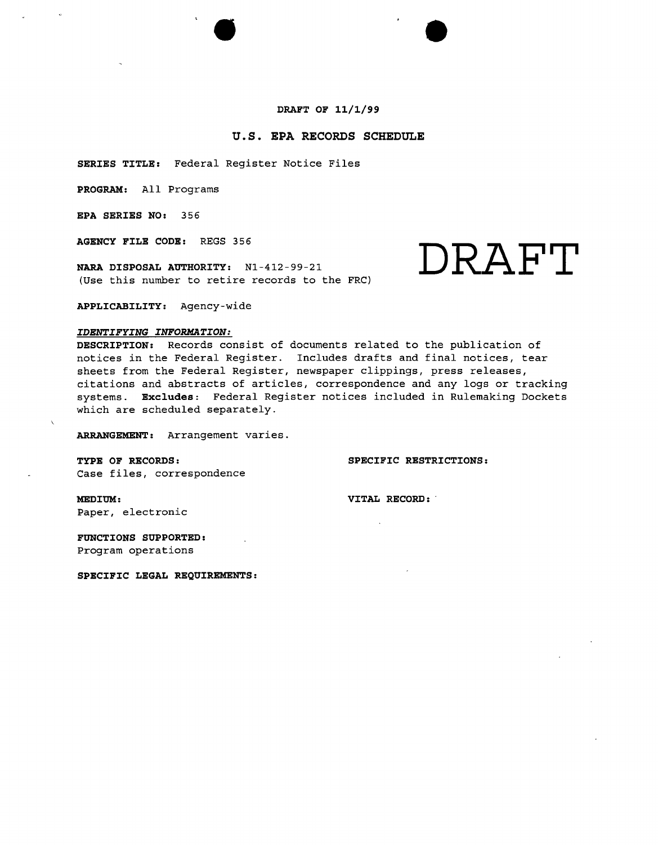#### **DRAFT OF 11/1/99**

 $\bullet$ 

### **u.s. EPA RECORDS SCHEDULE**

**SERIES TITLE:** Federal Register Notice Files

**PROGRAM:** All Programs

**EPA SERIES NO:** 356

**AGENCY FILE CODE:** REGS 356

**NARA DISPOSAL AUTHORITY:** Nl-412-99-21 (Use this number to retire records to the FRC)

# **DRAFT**

**APPLICABILITY:** Agency-wide

#### *IDENTIFYING INFORMATION:*

**DESCRIPTION:** Records consist of documents related to the publication of notices in the Federal Register. Includes drafts and final notices, tear sheets from the Federal Register, newspaper clippings, press releases, citations and abstracts of articles, correspondence and any logs or tracking systems. **Excludes:** Federal Register notices included in Rulemaking Dockets which are scheduled separately.

**ARRANGEMENT:** Arrangement varies.

**TYPE OF RECORDS: SPECIFIC RESTRICTIONS:**

Case files, correspondence

**MEDIUM: VITAL RECORD: .** Paper, electronic

**FUNCTIONS SUPPORTED:** Program operations

**SPECIFIC LEGAL REQUIREMENTS:**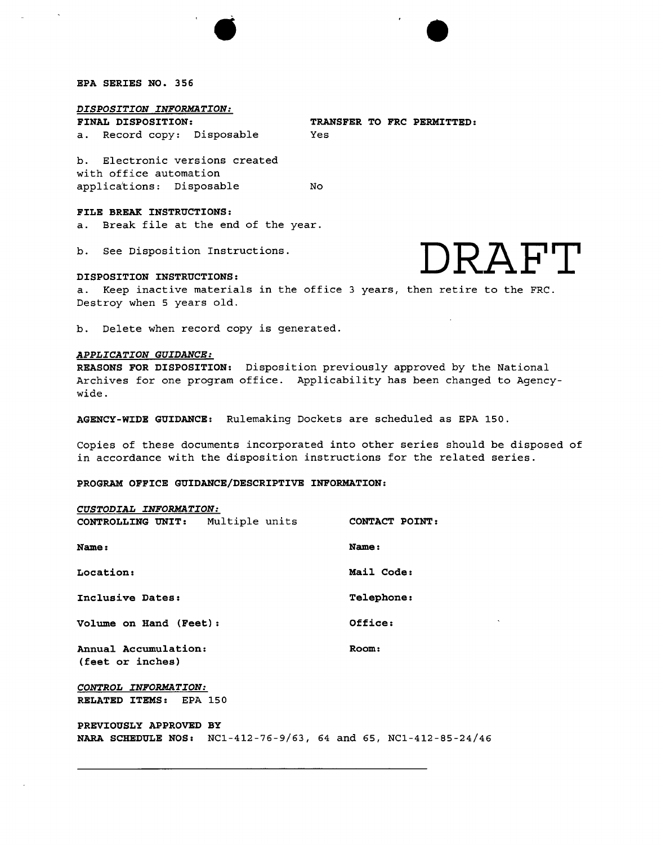### **EPA SERIES NO. 356**

#### *DISPOSITION INFORMATION:*

a. Record copy: Disposable Yes

**FINAL DISPOSITION: TRANSFER TO FRC PERMITTED:**

b. Electronic versions created with office automation applications: Disposable No

#### **FILE BREAK INSTRUCTIONS:**

a. Break file at the end of the year.

b. See Disposition Instructions.

# b. See Disposition Instructions.<br>DRAFT<br>a. Keep inactive materials in the office 3 years, then retire to the FRC.

#### **DISPOSITION INSTRUCTIONS:**

Destroy when 5 years old.

 $\bullet$ 

b. Delete when record copy is generated.

#### *APPLICATION GUIDANCE:*

**REASONS FOR DISPOSITION:** Disposition previously approved by the National Archives for one program office. Applicability has been changed to Agencywide.

**AGENCY-WIDE GUIDANCE:** Rulemaking Dockets are scheduled as EPA 150.

Copies of these documents incorporated into other series should be disposed of in accordance with the disposition instructions for the related series.

**PROGRAM OFFICE GUIDANCE/DESCRIPTIVE INFORMATION:**

| CUSTODIAL INFORMATION:                   |         |                |
|------------------------------------------|---------|----------------|
| CONTROLLING UNIT: Multiple units         |         | CONTACT POINT: |
| Name:                                    |         | Name:          |
| Location:                                |         | Mail Code:     |
| Inclusive Dates:                         |         | Telephone:     |
| Volume on Hand (Feet):                   | Office: |                |
| Annual Accumulation:<br>(feet or inches) | Room:   |                |
| CONTROL INFORMATION:                     |         |                |
| <b>RELATED ITEMS:</b>                    | EPA 150 |                |

**PREVIOUSLY APPROVED BY NARA SCHEDULE NOS:** NCl-412-76-9/63, 64 and 65, NCl-412-85-24/46